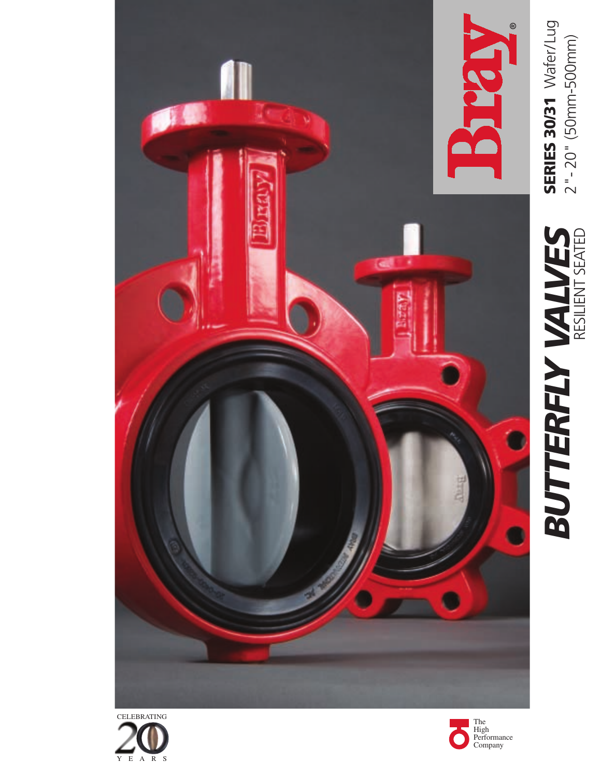



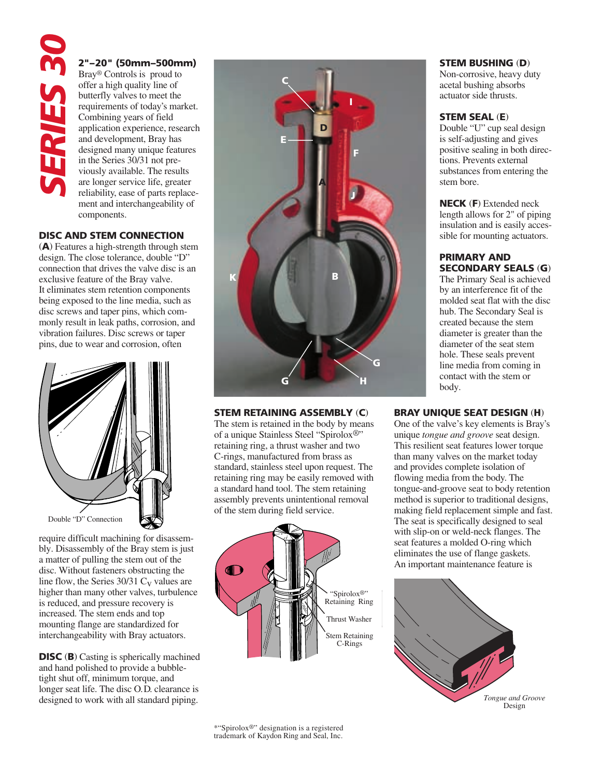#### **2"–20" (50mm–500mm)**

Bray® Controls is proud to offer a high quality line of butterfly valves to meet the requirements of today's market. Combining years of field application experience, research and development, Bray has designed many unique features in the Series 30/31 not previously available. The results are longer service life, greater reliability, ease of parts replacement and interchangeability of components.

#### **DISC AND STEM CONNECTION**

(**A**) Features a high-strength through stem design. The close tolerance, double "D" connection that drives the valve disc is an exclusive feature of the Bray valve. It eliminates stem retention components being exposed to the line media, such as disc screws and taper pins, which commonly result in leak paths, corrosion, and vibration failures. Disc screws or taper pins, due to wear and corrosion, often



require difficult machining for disassembly. Disassembly of the Bray stem is just a matter of pulling the stem out of the disc. Without fasteners obstructing the line flow, the Series  $30/31$  C<sub>v</sub> values are higher than many other valves, turbulence is reduced, and pressure recovery is increased. The stem ends and top mounting flange are standardized for interchangeability with Bray actuators.

**DISC** (**B**) Casting is spherically machined and hand polished to provide a bubbletight shut off, minimum torque, and longer seat life. The disc O.D. clearance is



#### **STEM RETAINING ASSEMBLY** (**C**)

The stem is retained in the body by means of a unique Stainless Steel "Spirolox®" retaining ring, a thrust washer and two C-rings, manufactured from brass as standard, stainless steel upon request. The retaining ring may be easily removed with a standard hand tool. The stem retaining assembly prevents unintentional removal of the stem during field service.



#### **STEM BUSHING** (**D**)

Non-corrosive, heavy duty acetal bushing absorbs actuator side thrusts.

#### **STEM SEAL** (**E**)

Double "U" cup seal design is self-adjusting and gives positive sealing in both directions. Prevents external substances from entering the stem bore.

**NECK** (**F**) Extended neck length allows for 2" of piping insulation and is easily accessible for mounting actuators.

#### **PRIMARY AND SECONDARY SEALS** (**G**)

The Primary Seal is achieved by an interference fit of the molded seat flat with the disc hub. The Secondary Seal is created because the stem diameter is greater than the diameter of the seat stem hole. These seals prevent line media from coming in contact with the stem or body.

#### **BRAY UNIQUE SEAT DESIGN** (**H**)

One of the valve's key elements is Bray's unique *tongue and groove* seat design. This resilient seat features lower torque than many valves on the market today and provides complete isolation of flowing media from the body. The tongue-and-groove seat to body retention method is superior to traditional designs, making field replacement simple and fast. The seat is specifically designed to seal with slip-on or weld-neck flanges. The seat features a molded O-ring which eliminates the use of flange gaskets. An important maintenance feature is

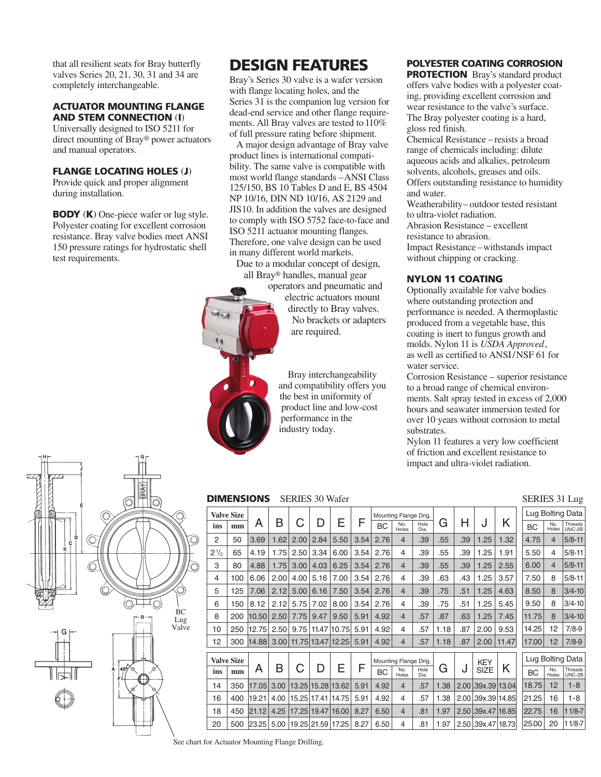that all resilient seats for Bray butterfly valves Series 20, 21, 30, 31 and 34 are completely interchangeable.

#### **ACTUATOR MOUNTING FLANGE AND STEM CONNECTION** (**I**)

Universally designed to ISO 5211 for direct mounting of Bray® power actuators and manual operators.

#### **FLANGE LOCATING HOLES** (**J**)

Provide quick and proper alignment during installation.

**BODY** (**K**) One-piece wafer or lug style. Polyester coating for excellent corrosion resistance. Bray valve bodies meet ANSI 150 pressure ratings for hydrostatic shell test requirements.

## **DESIGN FEATURES**

Bray's Series 30 valve is a wafer version with flange locating holes, and the Series 31 is the companion lug version for dead-end service and other flange requirements. All Bray valves are tested to 110% of full pressure rating before shipment.

 A major design advantage of Bray valve product lines is international compatibility. The same valve is compatible with most world flange standards – ANSI Class 125/150, BS 10 Tables D and E, BS 4504 NP 10/16, DIN ND 10/16, AS 2129 and JIS10. In addition the valves are designed to comply with ISO 5752 face-to-face and ISO 5211 actuator mounting flanges. Therefore, one valve design can be used in many different world markets.

 Due to a modular concept of design, all Bray® handles, manual gear

 operators and pneumatic and electric actuators mount directly to Bray valves. No brackets or adapters are required.

 Bray interchangeability and compatibility offers you the best in uniformity of product line and low-cost performance in the industry today.

## **POLYESTER COATING CORROSION**

**PROTECTION** Bray's standard product offers valve bodies with a polyester coating, providing excellent corrosion and wear resistance to the valve's surface. The Bray polyester coating is a hard, gloss red finish.

Chemical Resistance – resists a broad range of chemicals including: dilute aqueous acids and alkalies, petroleum solvents, alcohols, greases and oils. Offers outstanding resistance to humidity and water.

Weatherability– outdoor tested resistant to ultra-violet radiation.

Abrasion Resistance – excellent

resistance to abrasion.

Impact Resistance –withstands impact without chipping or cracking.

#### **NYLON 11 COATING**

Optionally available for valve bodies where outstanding protection and performance is needed. A thermoplastic produced from a vegetable base, this coating is inert to fungus growth and molds. Nylon 11 is *USDA Approved*, as well as certified to ANSI/NSF 61 for water service.

Corrosion Resistance – superior resistance to a broad range of chemical environments. Salt spray tested in excess of 2,000 hours and seawater immersion tested for over 10 years without corrosion to metal substrates.

Nylon 11 features a very low coefficient of friction and excellent resistance to impact and ultra-violet radiation.

SERIES 31 Lug



#### **DIMENSIONS** SERIES 30 Wafer

| ------<br>$\sim$ $\sim$ $\sim$ $\sim$ |                   |       |      |             |      |                                      |      |                       |                       |              |      |            |                     |       |           |                  |                   |
|---------------------------------------|-------------------|-------|------|-------------|------|--------------------------------------|------|-----------------------|-----------------------|--------------|------|------------|---------------------|-------|-----------|------------------|-------------------|
|                                       | <b>Valve Size</b> |       |      |             |      |                                      |      |                       | Mounting Flange Drig. |              |      |            |                     |       |           |                  | Lug Bolting Data  |
| ins                                   | mm                | A     | B    |             | D    | Е                                    | F    | <b>BC</b>             | No.<br>Holes          | Hole<br>Dia. | G    | Н          |                     | Κ     | BC        | No.<br>Holes     | Threads<br>UNC-2B |
| $\overline{2}$                        | 50                | 3.69  | 1.62 | 2.00        | 2.84 | 5.50                                 | 3.54 | 2.76                  | $\overline{4}$        | .39          | .55  | .39        | 1.25                | 1.32  | 4.75      | $\overline{4}$   | $5/8 - 11$        |
| $2\frac{1}{2}$                        | 65                | 4.19  | 1.75 | 2.50        | 3.34 | 6.00                                 | 3.54 | 2.76                  | 4                     | .39          | .55  | .39        | 1.25                | 1.91  | 5.50      | 4                | $5/8 - 11$        |
| 3                                     | 80                | 4.88  | 1.75 | 3.00        | 4.03 | 6.25                                 | 3.54 | 2.76                  | $\overline{4}$        | .39          | .55  | .39        | 1.25                | 2.55  | 6.00      | $\overline{4}$   | $5/8 - 11$        |
| 4                                     | 100               | 6.06  | 2.00 | 4.00        | 5.16 | 7.00                                 | 3.54 | 2.76                  | 4                     | .39          | .63  | .43        | 1.25                | 3.57  | 7.50      | 8                | $5/8 - 11$        |
| 5                                     | 125               | 7.06  | 2.12 | 5.00        | 6.16 | 7.50                                 | 3.54 | 2.76                  | $\overline{4}$        | .39          | .75  | .51        | 1.25                | 4.63  | 8.50      | 8                | $3/4 - 10$        |
| 6                                     | 150               | 8.12  | 2.12 | 5.75        | 7.02 | 8.00                                 | 3.54 | 2.76                  | 4                     | .39          | .75  | .51        | 1.25                | 5.45  | 9.50      | 8                | $3/4 - 10$        |
| 8                                     | 200               | 10.50 | 2.50 | 7.75        | 9.47 | 9.50                                 | 5.91 | 4.92                  | $\overline{4}$        | .57          | .87  | .63        | 1.25                | 7.45  | 11.75     | 8                | $3/4 - 10$        |
| 10                                    | 250               | 12.75 | 2.50 | 9.75        |      | 11.47 10.75                          | 5.91 | 4.92                  | 4                     | .57          | 1.18 | .87        | 2.00                | 9.53  | 14.25     | 12               | $7/8 - 9$         |
| 12                                    | 300               | 14.88 |      |             |      | 3.00 11.75 13.47 12.25               | 5.91 | 4.92                  | $\overline{4}$        | .57          | 1.18 | .87        | 2.00                | 11.47 | 17.00     | 12               | $7/8 - 9$         |
|                                       | <b>Valve Size</b> |       |      |             |      |                                      |      | Mounting Flange Drig. |                       |              |      | <b>KEY</b> |                     |       |           | Lug Bolting Data |                   |
| ins                                   | mm                | A     | B    | С           | D    | E                                    | F    | BC                    | No.<br>Holes          | Hole<br>Dia. | G    | J          | <b>SIZE</b>         | Κ     | <b>BC</b> | No.<br>Holes     | Threads<br>UNC-2B |
| 14                                    | 350               | 17.05 | 3.00 |             |      | 13.25 15.28 13.62                    | 5.91 | 4.92                  | $\overline{4}$        | .57          | 1.38 | 2.00       | .39x.39 13.04       |       | 18.75     | 12               | $1 - 8$           |
| 16                                    | 400               | 19.21 | 4.00 | 15.25       |      | 17.41 14.75                          | 5.91 | 4.92                  | 4                     | .57          | 1.38 |            | 2.00 .39x.39 14.85  |       | 21.25     | 16               | $1 - 8$           |
| 18                                    | 450               | 21.12 | 4.25 | 17.25 19.47 |      | 16.00                                | 8.27 | 6.50                  | $\overline{4}$        | .81          | 1.97 |            | 2.50 39x.47 16.85   |       | 22.75     | 16               | $11/8-7$          |
| 20                                    | 500               |       |      |             |      | 23.25   5.00   19.25   21.59   17.25 | 8.27 | 6.50                  | 4                     | .81          | 1.97 |            | 2.50 39x.47   18.73 |       | 25.00     | 20               | $11/8 - 7$        |



See chart for Actuator Mounting Flange Drilling.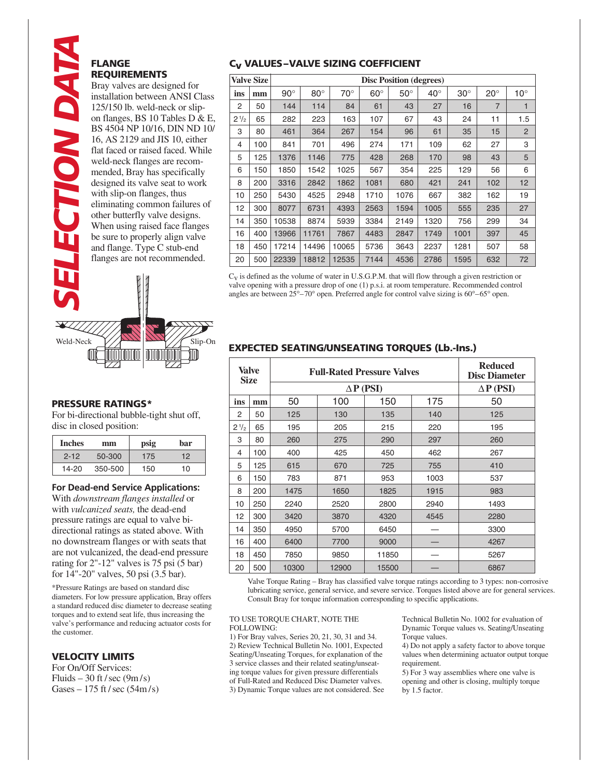# **FLANGE IECTION DAT REQUIREMENTS** Bray valves are designed for

installation between ANSI Class 125/150 lb. weld-neck or slipon flanges, BS 10 Tables D & E, BS 4504 NP 10/16, DIN ND 10/ 16, AS 2129 and JIS 10, either flat faced or raised faced. While weld-neck flanges are recommended, Bray has specifically designed its valve seat to work with slip-on flanges, thus eliminating common failures of other butterfly valve designs. When using raised face flanges be sure to properly align valve and flange. Type C stub-end flanges are not recommended.



#### **PRESSURE RATINGS\***

For bi-directional bubble-tight shut off, disc in closed position:

| <b>Inches</b> | mm      | psig | bar |
|---------------|---------|------|-----|
| $2 - 12$      | 50-300  | 175  | 12  |
| 14-20         | 350-500 | 150  | 10  |

**For Dead-end Service Applications:** With *downstream flanges installed* or with *vulcanized seats,* the dead-end pressure ratings are equal to valve bidirectional ratings as stated above. With no downstream flanges or with seats that are not vulcanized, the dead-end pressure rating for 2"-12" valves is 75 psi (5 bar) for 14"-20" valves, 50 psi (3.5 bar).

\*Pressure Ratings are based on standard disc diameters. For low pressure application, Bray offers a standard reduced disc diameter to decrease seating torques and to extend seat life, thus increasing the valve's performance and reducing actuator costs for the customer.

#### **VELOCITY LIMITS**

For On/Off Services: Fluids – 30 ft / sec  $(9m/s)$ Gases  $-175$  ft / sec (54m/s)

### **Cv VALUES–VALVE SIZING COEFFICIENT**

| <b>Valve Size</b> |     | <b>Disc Position (degrees)</b> |            |              |            |            |              |            |                |              |  |
|-------------------|-----|--------------------------------|------------|--------------|------------|------------|--------------|------------|----------------|--------------|--|
| ins               | mm  | $90^\circ$                     | $80^\circ$ | $70^{\circ}$ | $60^\circ$ | $50^\circ$ | $40^{\circ}$ | $30^\circ$ | $20^{\circ}$   | $10^{\circ}$ |  |
| 2                 | 50  | 144                            | 114        | 84           | 61         | 43         | 27           | 16         | $\overline{7}$ | 1            |  |
| $2^{1/2}$         | 65  | 282                            | 223        | 163          | 107        | 67         | 43           | 24         | 11             | 1.5          |  |
| 3                 | 80  | 461                            | 364        | 267          | 154        | 96         | 61           | 35         | 15             | 2            |  |
| 4                 | 100 | 841                            | 701        | 496          | 274        | 171        | 109          | 62         | 27             | 3            |  |
| 5                 | 125 | 1376                           | 1146       | 775          | 428        | 268        | 170          | 98         | 43             | 5            |  |
| 6                 | 150 | 1850                           | 1542       | 1025         | 567        | 354        | 225          | 129        | 56             | 6            |  |
| 8                 | 200 | 3316                           | 2842       | 1862         | 1081       | 680        | 421          | 241        | 102            | 12           |  |
| 10                | 250 | 5430                           | 4525       | 2948         | 1710       | 1076       | 667          | 382        | 162            | 19           |  |
| 12                | 300 | 8077                           | 6731       | 4393         | 2563       | 1594       | 1005         | 555        | 235            | 27           |  |
| 14                | 350 | 10538                          | 8874       | 5939         | 3384       | 2149       | 1320         | 756        | 299            | 34           |  |
| 16                | 400 | 13966                          | 11761      | 7867         | 4483       | 2847       | 1749         | 1001       | 397            | 45           |  |
| 18                | 450 | 17214                          | 14496      | 10065        | 5736       | 3643       | 2237         | 1281       | 507            | 58           |  |
| 20                | 500 | 22339                          | 18812      | 12535        | 7144       | 4536       | 2786         | 1595       | 632            | 72           |  |

Cv is defined as the volume of water in U.S.G.P.M. that will flow through a given restriction or valve opening with a pressure drop of one (1) p.s.i. at room temperature. Recommended control angles are between 25°–70° open. Preferred angle for control valve sizing is 60°–65° open.

## **EXPECTED SEATING/UNSEATING TORQUES (Lb.-Ins.)**

| Valve<br><b>Size</b> |     | <b>Full-Rated Pressure Valves</b> | <b>Reduced</b><br><b>Disc Diameter</b> |       |      |      |
|----------------------|-----|-----------------------------------|----------------------------------------|-------|------|------|
|                      |     |                                   | $\Delta P$ (PSI)                       |       |      |      |
| ins                  | mm  | 50                                | 100                                    | 150   | 175  | 50   |
| 2                    | 50  | 125                               | 130                                    | 135   | 140  | 125  |
| $2^{1/2}$            | 65  | 195                               | 205                                    | 215   | 220  | 195  |
| 3                    | 80  | 260                               | 275                                    | 290   | 297  | 260  |
| 4                    | 100 | 400                               | 425                                    | 450   | 462  | 267  |
| 5                    | 125 | 615                               | 670                                    | 725   | 755  | 410  |
| 6                    | 150 | 783                               | 871                                    | 953   | 1003 | 537  |
| 8                    | 200 | 1475                              | 1650                                   | 1825  | 1915 | 983  |
| 10                   | 250 | 2240                              | 2520                                   | 2800  | 2940 | 1493 |
| 12                   | 300 | 3420                              | 3870                                   | 4320  | 4545 | 2280 |
| 14                   | 350 | 4950                              | 5700                                   | 6450  |      | 3300 |
| 16                   | 400 | 6400                              | 7700                                   | 9000  |      | 4267 |
| 18                   | 450 | 7850                              | 9850                                   | 11850 |      | 5267 |
| 20                   | 500 | 10300                             | 12900                                  | 15500 |      | 6867 |

Valve Torque Rating – Bray has classified valve torque ratings according to 3 types: non-corrosive lubricating service, general service, and severe service. Torques listed above are for general services. Consult Bray for torque information corresponding to specific applications.

#### TO USE TORQUE CHART, NOTE THE FOLLOWING:

1) For Bray valves, Series 20, 21, 30, 31 and 34. 2) Review Technical Bulletin No. 1001, Expected Seating/Unseating Torques, for explanation of the 3 service classes and their related seating/unseating torque values for given pressure differentials of Full-Rated and Reduced Disc Diameter valves. 3) Dynamic Torque values are not considered. See Technical Bulletin No. 1002 for evaluation of Dynamic Torque values vs. Seating/Unseating Torque values.

4) Do not apply a safety factor to above torque values when determining actuator output torque requirement.

5) For 3 way assemblies where one valve is opening and other is closing, multiply torque by 1.5 factor.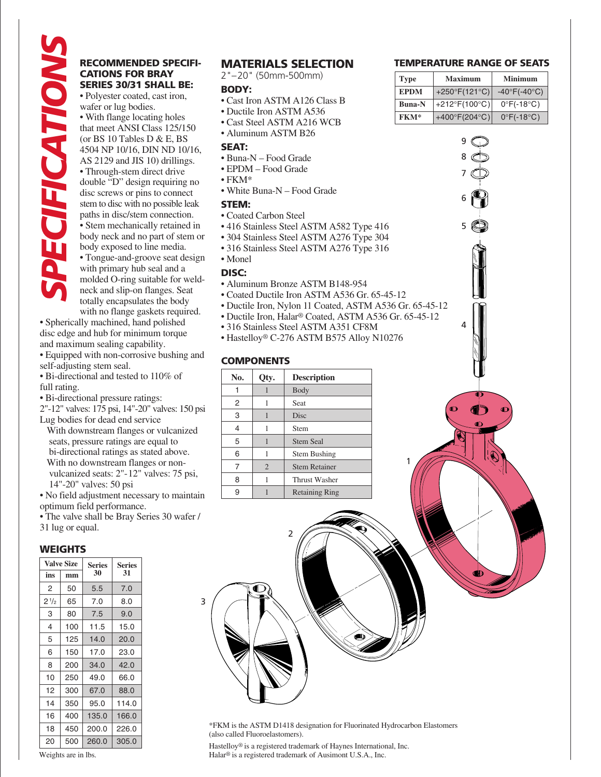# **CATIONS FOR BRAY SERIES 30/31 SHALL BE:**

**EXERCIBY SPECT SPECT SPECT SPECT SPECT SPECT SPECT SPECT SPECT SPECT SPECT SPECT CONSUMPTIONS AND HOW SOME CONSUMPTION (or BS 10 Tables locating holes (or BS 10 Tables Defined a 115 10) diffluing to the set of the set of** • Polyester coated, cast iron, wafer or lug bodies. • With flange locating holes that meet ANSI Class 125/150 (or BS 10 Tables D & E, BS 4504 NP 10/16, DIN ND 10/16, AS 2129 and JIS 10) drillings. • Through-stem direct drive double "D" design requiring no disc screws or pins to connect stem to disc with no possible leak paths in disc/stem connection. • Stem mechanically retained in body neck and no part of stem or body exposed to line media. • Tongue-and-groove seat design with primary hub seal and a molded O-ring suitable for weldneck and slip-on flanges. Seat totally encapsulates the body with no flange gaskets required.

• Spherically machined, hand polished disc edge and hub for minimum torque and maximum sealing capability.

- Equipped with non-corrosive bushing and self-adjusting stem seal.
- Bi-directional and tested to 110% of full rating.
- Bi-directional pressure ratings:

2"-12" valves: 175 psi, 14"-20" valves: 150 psi Lug bodies for dead end service

 With downstream flanges or vulcanized seats, pressure ratings are equal to bi-directional ratings as stated above. With no downstream flanges or non vulcanized seats: 2"-12" valves: 75 psi, 14"-20" valves: 50 psi

• No field adjustment necessary to maintain optimum field performance.

• The valve shall be Bray Series 30 wafer / 31 lug or equal.

#### **WEIGHTS**

|                | <b>Valve Size</b> | <b>Series</b> | <b>Series</b><br>31 |  |  |
|----------------|-------------------|---------------|---------------------|--|--|
| ins            | mm                | 30            |                     |  |  |
| 2              | 50                | 5.5           | 7.0                 |  |  |
| $2\frac{1}{2}$ | 65                | 7.0           | 8.0                 |  |  |
| 3              | 80                | 7.5           | 9.0                 |  |  |
| 4              | 100               | 11.5          | 15.0                |  |  |
| 5              | 125               | 14.0          | 20.0                |  |  |
| 6              | 150               | 17.0          | 23.0                |  |  |
| 8              | 200               | 34.0          | 42.0                |  |  |
| 10             | 250               | 49.0          | 66.0                |  |  |
| 12             | 300               | 67.0          | 88.0                |  |  |
| 14             | 350               | 95.0          | 114.0               |  |  |
| 16             | 400               | 135.0         | 166.0               |  |  |
| 18             | 450               | 200.0         | 226.0               |  |  |
| 20<br>500      |                   | 260.0         | 305.0               |  |  |

#### Weights are in lbs.

#### **MATERIALS SELECTION**

2"–20" (50mm-500mm)

#### **BODY:**

- Cast Iron ASTM A126 Class B
- Ductile Iron ASTM A536
- Cast Steel ASTM A216 WCB
- Aluminum ASTM B26

#### **SEAT:**

- Buna-N Food Grade
- EPDM Food Grade
- FKM\*
- White Buna-N Food Grade

#### **STEM:**

- Coated Carbon Steel
- 416 Stainless Steel ASTM A582 Type 416
- 304 Stainless Steel ASTM A276 Type 304
- 316 Stainless Steel ASTM A276 Type 316
- Monel

#### **DISC:**

3

- Aluminum Bronze ASTM B148-954
- Coated Ductile Iron ASTM A536 Gr. 65-45-12
- Ductile Iron, Nylon 11 Coated, ASTM A536 Gr. 65-45-12
- Ductile Iron, Halar® Coated, ASTM A536 Gr. 65-45-12

1

- 316 Stainless Steel ASTM A351 CF8M
- Hastelloy® C-276 ASTM B575 Alloy N10276

#### **COMPONENTS**

| No.<br>Qty. |                | <b>Description</b>    |
|-------------|----------------|-----------------------|
|             |                | Body                  |
| 2           |                | Seat                  |
| 3           |                | Disc                  |
| 4           |                | Stem                  |
| 5           |                | <b>Stem Seal</b>      |
| 6           |                | <b>Stem Bushing</b>   |
| 7           | $\overline{2}$ | <b>Stem Retainer</b>  |
| 8           |                | Thrust Washer         |
| 9           |                | <b>Retaining Ring</b> |

2

#### **TEMPERATURE RANGE OF SEATS**

| <b>Type</b>   | <b>Maximum</b>                    | Minimum                         |  |  |  |
|---------------|-----------------------------------|---------------------------------|--|--|--|
| EPDM          | +250 $\degree$ F(121 $\degree$ C) | $-40^{\circ}F(-40^{\circ}C)$    |  |  |  |
| <b>Buna-N</b> | +212°F(100°C)                     | $0^{\circ}$ F(-18 $^{\circ}$ C) |  |  |  |
| <b>FKM*</b>   | +400 $\degree$ F(204 $\degree$ C) | $0^{\circ}$ F(-18 $^{\circ}$ C) |  |  |  |

4

5

6

7 8 9

\*FKM is the ASTM D1418 designation for Fluorinated Hydrocarbon Elastomers (also called Fluoroelastomers).

Hastelloy® is a registered trademark of Haynes International, Inc. Halar® is a registered trademark of Ausimont U.S.A., Inc.